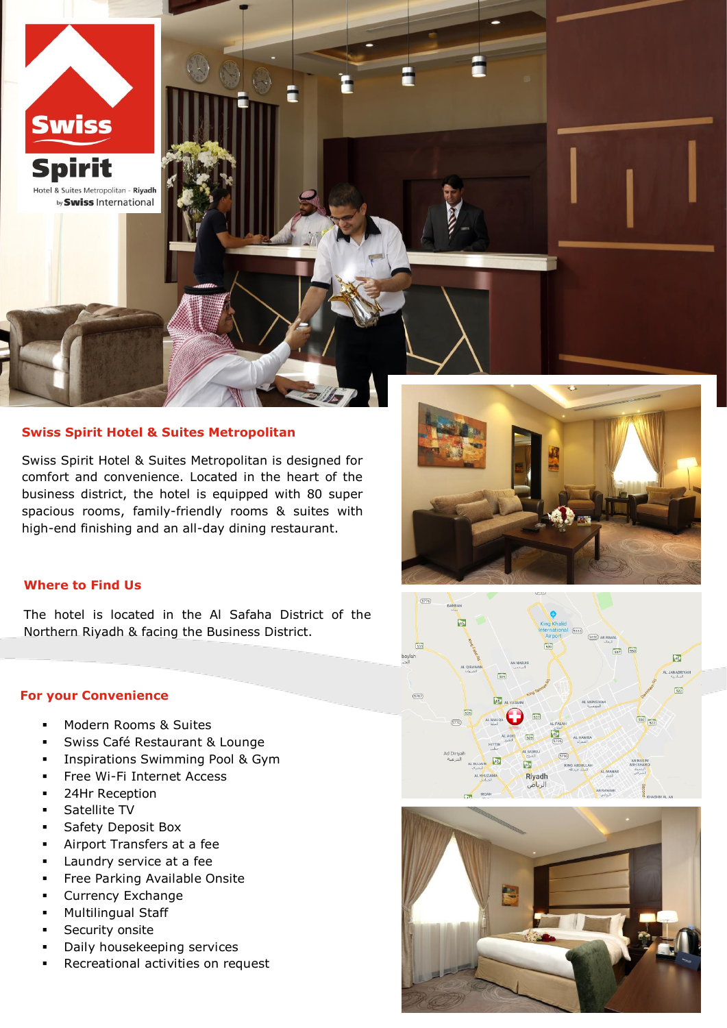Hotel & Suites Metropolitan - Riyadh by **Swiss** International

**Swiss** 

**Spirit** 

## **Swiss Spirit Hotel & Suites Metropolitan**

Swiss Spirit Hotel & Suites Metropolitan is designed for comfort and convenience. Located in the heart of the business district, the hotel is equipped with 80 super spacious rooms, family-friendly rooms & suites with high-end finishing and an all-day dining restaurant.

# **Where to Find Us**

The hotel is located in the Al Safaha District of the Northern Riyadh & facing the Business District.

## **For your Convenience**

- **Modern Rooms & Suites**
- Swiss Café Restaurant & Lounge
- Inspirations Swimming Pool & Gym
- Free Wi-Fi Internet Access
- 24Hr Reception
- Satellite TV
- Safety Deposit Box
- Airport Transfers at a fee
- Laundry service at a fee
- Free Parking Available Onsite
- Currency Exchange
- Multilingual Staff
- Security onsite
- Daily housekeeping services
- Recreational activities on request